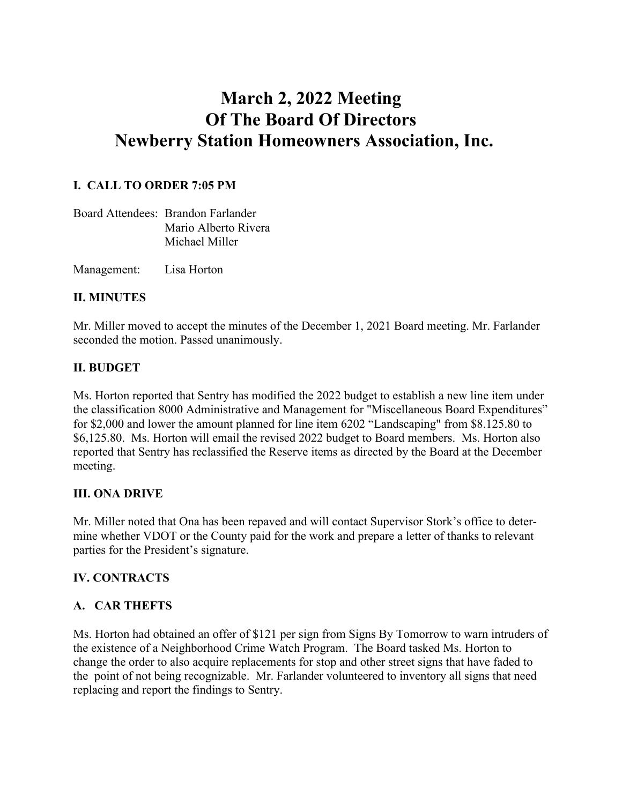# **March 2, 2022 Meeting Of The Board Of Directors Newberry Station Homeowners Association, Inc.**

### **I. CALL TO ORDER 7:05 PM**

| Board Attendees: Brandon Farlander |
|------------------------------------|
| Mario Alberto Rivera               |
| Michael Miller                     |

Management: Lisa Horton

#### **II. MINUTES**

Mr. Miller moved to accept the minutes of the December 1, 2021 Board meeting. Mr. Farlander seconded the motion. Passed unanimously.

#### **II. BUDGET**

Ms. Horton reported that Sentry has modified the 2022 budget to establish a new line item under the classification 8000 Administrative and Management for "Miscellaneous Board Expenditures" for \$2,000 and lower the amount planned for line item 6202 "Landscaping" from \$8.125.80 to \$6,125.80. Ms. Horton will email the revised 2022 budget to Board members. Ms. Horton also reported that Sentry has reclassified the Reserve items as directed by the Board at the December meeting.

#### **III. ONA DRIVE**

Mr. Miller noted that Ona has been repaved and will contact Supervisor Stork's office to determine whether VDOT or the County paid for the work and prepare a letter of thanks to relevant parties for the President's signature.

#### **IV. CONTRACTS**

#### **A. CAR THEFTS**

Ms. Horton had obtained an offer of \$121 per sign from Signs By Tomorrow to warn intruders of the existence of a Neighborhood Crime Watch Program. The Board tasked Ms. Horton to change the order to also acquire replacements for stop and other street signs that have faded to the point of not being recognizable. Mr. Farlander volunteered to inventory all signs that need replacing and report the findings to Sentry.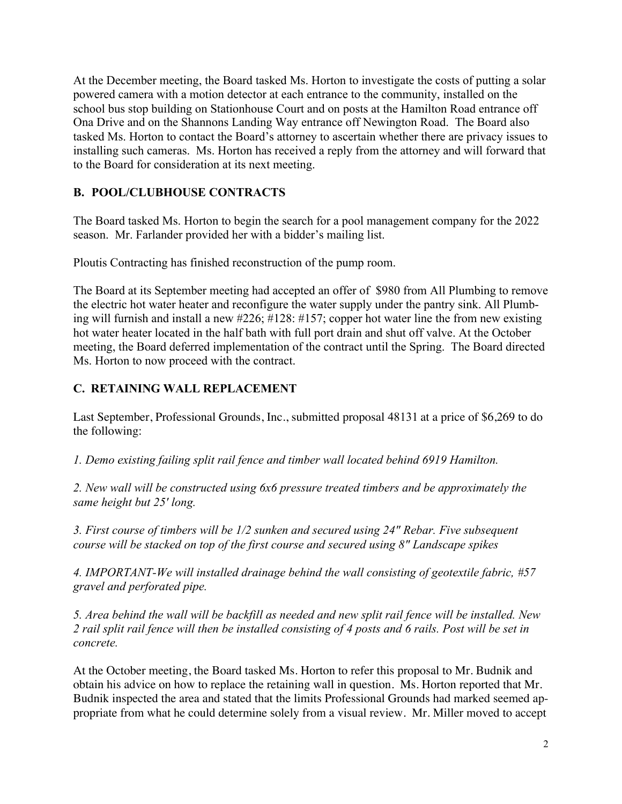At the December meeting, the Board tasked Ms. Horton to investigate the costs of putting a solar powered camera with a motion detector at each entrance to the community, installed on the school bus stop building on Stationhouse Court and on posts at the Hamilton Road entrance off Ona Drive and on the Shannons Landing Way entrance off Newington Road. The Board also tasked Ms. Horton to contact the Board's attorney to ascertain whether there are privacy issues to installing such cameras. Ms. Horton has received a reply from the attorney and will forward that to the Board for consideration at its next meeting.

# **B. POOL/CLUBHOUSE CONTRACTS**

The Board tasked Ms. Horton to begin the search for a pool management company for the 2022 season. Mr. Farlander provided her with a bidder's mailing list.

Ploutis Contracting has finished reconstruction of the pump room.

The Board at its September meeting had accepted an offer of \$980 from All Plumbing to remove the electric hot water heater and reconfigure the water supply under the pantry sink. All Plumbing will furnish and install a new #226; #128: #157; copper hot water line the from new existing hot water heater located in the half bath with full port drain and shut off valve. At the October meeting, the Board deferred implementation of the contract until the Spring. The Board directed Ms. Horton to now proceed with the contract.

#### **C. RETAINING WALL REPLACEMENT**

Last September, Professional Grounds, Inc., submitted proposal 48131 at a price of \$6,269 to do the following:

*1. Demo existing failing split rail fence and timber wall located behind 6919 Hamilton.*

*2. New wall will be constructed using 6x6 pressure treated timbers and be approximately the same height but 25' long.* 

*3. First course of timbers will be 1/2 sunken and secured using 24" Rebar. Five subsequent course will be stacked on top of the first course and secured using 8" Landscape spikes*

*4. IMPORTANT-We will installed drainage behind the wall consisting of geotextile fabric, #57 gravel and perforated pipe.*

*5. Area behind the wall will be backfill as needed and new split rail fence will be installed. New 2 rail split rail fence will then be installed consisting of 4 posts and 6 rails. Post will be set in concrete.* 

At the October meeting, the Board tasked Ms. Horton to refer this proposal to Mr. Budnik and obtain his advice on how to replace the retaining wall in question. Ms. Horton reported that Mr. Budnik inspected the area and stated that the limits Professional Grounds had marked seemed appropriate from what he could determine solely from a visual review. Mr. Miller moved to accept